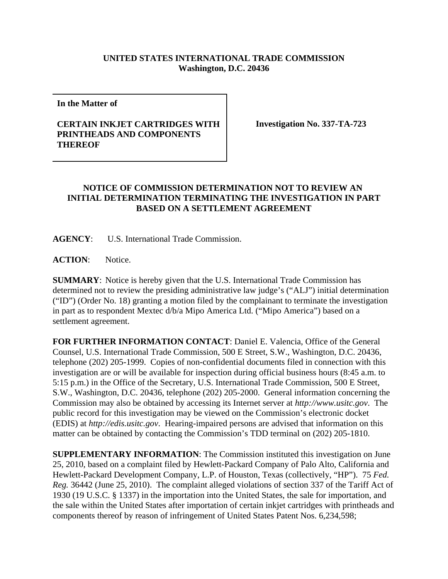## **UNITED STATES INTERNATIONAL TRADE COMMISSION Washington, D.C. 20436**

**In the Matter of** 

## **CERTAIN INKJET CARTRIDGES WITH PRINTHEADS AND COMPONENTS THEREOF**

**Investigation No. 337-TA-723**

## **NOTICE OF COMMISSION DETERMINATION NOT TO REVIEW AN INITIAL DETERMINATION TERMINATING THE INVESTIGATION IN PART BASED ON A SETTLEMENT AGREEMENT**

**AGENCY**: U.S. International Trade Commission.

ACTION: Notice.

**SUMMARY**: Notice is hereby given that the U.S. International Trade Commission has determined not to review the presiding administrative law judge's ("ALJ") initial determination ("ID") (Order No. 18) granting a motion filed by the complainant to terminate the investigation in part as to respondent Mextec d/b/a Mipo America Ltd. ("Mipo America") based on a settlement agreement.

**FOR FURTHER INFORMATION CONTACT**: Daniel E. Valencia, Office of the General Counsel, U.S. International Trade Commission, 500 E Street, S.W., Washington, D.C. 20436, telephone (202) 205-1999. Copies of non-confidential documents filed in connection with this investigation are or will be available for inspection during official business hours (8:45 a.m. to 5:15 p.m.) in the Office of the Secretary, U.S. International Trade Commission, 500 E Street, S.W., Washington, D.C. 20436, telephone (202) 205-2000. General information concerning the Commission may also be obtained by accessing its Internet server at *http://www.usitc.gov*. The public record for this investigation may be viewed on the Commission's electronic docket (EDIS) at *http://edis.usitc.gov*. Hearing-impaired persons are advised that information on this matter can be obtained by contacting the Commission's TDD terminal on (202) 205-1810.

**SUPPLEMENTARY INFORMATION**: The Commission instituted this investigation on June 25, 2010, based on a complaint filed by Hewlett-Packard Company of Palo Alto, California and Hewlett-Packard Development Company, L.P. of Houston, Texas (collectively, "HP"). 75 *Fed. Reg.* 36442 (June 25, 2010). The complaint alleged violations of section 337 of the Tariff Act of 1930 (19 U.S.C. § 1337) in the importation into the United States, the sale for importation, and the sale within the United States after importation of certain inkjet cartridges with printheads and components thereof by reason of infringement of United States Patent Nos. 6,234,598;